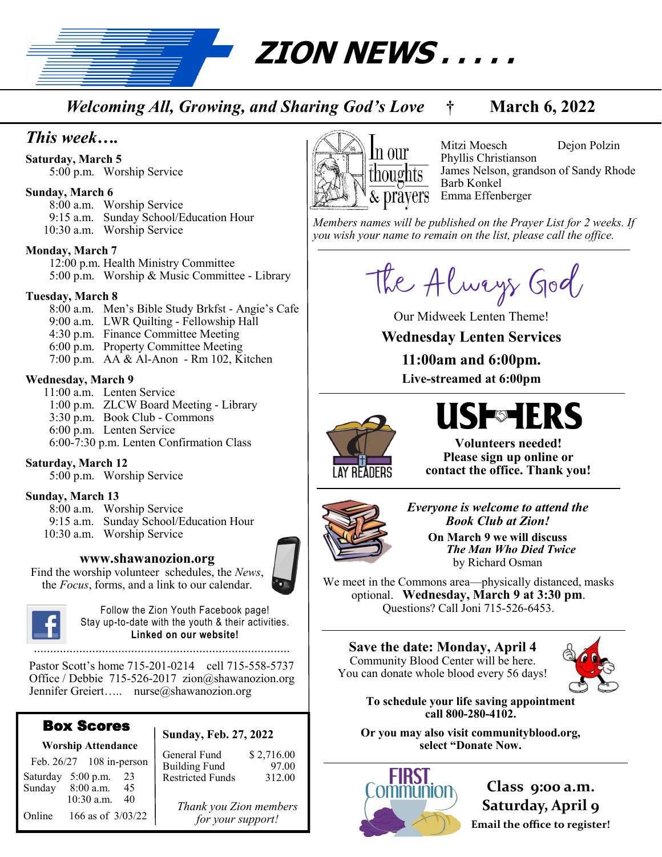**ZION NEWS . . . . .** 

*Welcoming All, Growing, and Sharing God's Love* **† March 6, 2022**

### *This week….*

**Saturday, March 5**

5:00 p.m. Worship Service

#### **Sunday, March 6**

8:00 a.m. Worship Service 9:15 a.m. Sunday School/Education Hour 10:30 a.m. Worship Service

#### **Monday, March 7**

12:00 p.m. Health Ministry Committee 5:00 p.m. Worship & Music Committee - Library

#### **Tuesday, March 8**

8:00 a.m. Men's Bible Study Brkfst - Angie's Cafe 9:00 a.m. LWR Quilting - Fellowship Hall 4:30 p.m. Finance Committee Meeting 6:00 p.m. Property Committee Meeting 7:00 p.m. AA & Al-Anon - Rm 102, Kitchen

#### **Wednesday, March 9**

 11:00 a.m. Lenten Service 1:00 p.m. ZLCW Board Meeting - Library 3:30 p.m. Book Club - Commons 6:00 p.m. Lenten Service 6:00-7:30 p.m. Lenten Confirmation Class

#### **Saturday, March 12**

5:00 p.m. Worship Service

#### **Sunday, March 13**

8:00 a.m. Worship Service 9:15 a.m. Sunday School/Education Hour 10:30 a.m. Worship Service

#### **www.shawanozion.org**

Find the worship volunteer schedules, the *News*, the *Focus*, forms, and a link to our calendar.



Follow the Zion Youth Facebook page! Stay up-to-date with the youth & their activities. **Linked on our website!**

Pastor Scott's home 715-201-0214 cell 715-558-5737 Office / Debbie 715-526-2017 zion@shawanozion.org Jennifer Greiert….. nurse@shawanozion.org

#### Box Scores **Worship Attendance**

#### **Sunday, Feb. 27, 2022**

| <u>vvol simpartitemualitte</u> |            |                          |                   |
|--------------------------------|------------|--------------------------|-------------------|
|                                |            | Feb. 26/27 108 in-person |                   |
| Saturday 5:00 p.m.             |            |                          | 23                |
| Sunday                         | 8:00 a.m.  |                          | 45                |
|                                | 10:30 a.m. |                          | 40                |
| Online                         |            |                          | 166 as of 3/03/22 |

General Fund \$ 2,716.00 Building Fund 97.00 Restricted Funds 312.00

> *Thank you Zion members for your support!*



Mitzi Moesch Dejon Polzin Phyllis Christianson James Nelson, grandson of Sandy Rhode Barb Konkel Emma Effenberger

*Members names will be published on the Prayer List for 2 weeks. If you wish your name to remain on the list, please call the office.*

The Always God

Our Midweek Lenten Theme!

#### **Wednesday Lenten Services**

**11:00am and 6:00pm. Live-streamed at 6:00pm**



# **USF**SHERS

**Volunteers needed! Please sign up online or contact the office. Thank you!**



*Everyone is welcome to attend the Book Club at Zion!* **On March 9 we will discuss** 

 *The Man Who Died Twice*  by Richard Osman

We meet in the Commons area—physically distanced, masks optional. **Wednesday, March 9 at 3:30 pm**. Questions? Call Joni 715-526-6453.

**Save the date: Monday, April 4** Community Blood Center will be here. You can donate whole blood every 56 days!



**To schedule your life saving appointment call 800-280-4102.** 

**Or you may also visit communityblood.org, select "Donate Now.** 



**Class 9:00 a.m. Saturday, April 9 Email the office to register!**